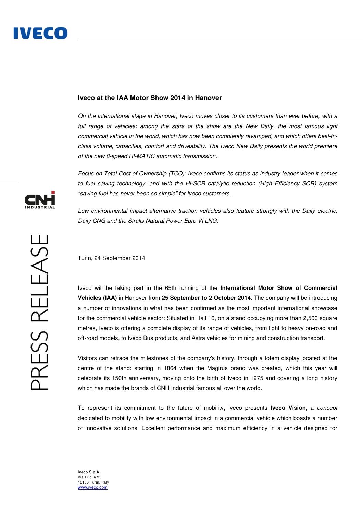# **Iveco at the IAA Motor Show 2014 in Hanover**

On the international stage in Hanover, Iveco moves closer to its customers than ever before, with a full range of vehicles: among the stars of the show are the New Daily, the most famous light commercial vehicle in the world, which has now been completely revamped, and which offers best-inclass volume, capacities, comfort and driveability. The Iveco New Daily presents the world première of the new 8-speed HI-MATIC automatic transmission.

Focus on Total Cost of Ownership (TCO): Iveco confirms its status as industry leader when it comes to fuel saving technology, and with the Hi-SCR catalytic reduction (High Efficiency SCR) system "saving fuel has never been so simple" for Iveco customers.

Low environmental impact alternative traction vehicles also feature strongly with the Daily electric, Daily CNG and the Stralis Natural Power Euro VI LNG.

Turin, 24 September 2014

Iveco will be taking part in the 65th running of the **International Motor Show of Commercial Vehicles (IAA)** in Hanover from **25 September to 2 October 2014**. The company will be introducing a number of innovations in what has been confirmed as the most important international showcase for the commercial vehicle sector: Situated in Hall 16, on a stand occupying more than 2,500 square metres, Iveco is offering a complete display of its range of vehicles, from light to heavy on-road and off-road models, to Iveco Bus products, and Astra vehicles for mining and construction transport.

Visitors can retrace the milestones of the company's history, through a totem display located at the centre of the stand: starting in 1864 when the Magirus brand was created, which this year will celebrate its 150th anniversary, moving onto the birth of Iveco in 1975 and covering a long history which has made the brands of CNH Industrial famous all over the world.

To represent its commitment to the future of mobility, Iveco presents **Iveco Vision**, a concept dedicated to mobility with low environmental impact in a commercial vehicle which boasts a number of innovative solutions. Excellent performance and maximum efficiency in a vehicle designed for



**Iveco S.p.A.**  Via Puglia 35 10156 Turin, Italy www.iveco.com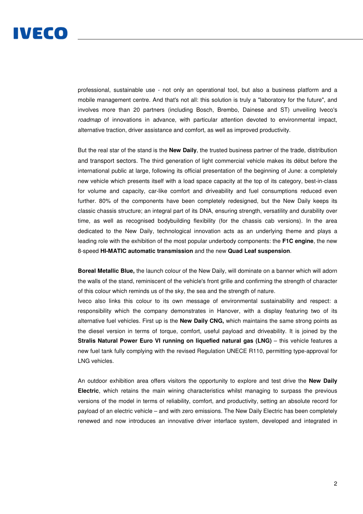

professional, sustainable use - not only an operational tool, but also a business platform and a mobile management centre. And that's not all: this solution is truly a "laboratory for the future", and involves more than 20 partners (including Bosch, Brembo, Dainese and ST) unveiling Iveco's roadmap of innovations in advance, with particular attention devoted to environmental impact, alternative traction, driver assistance and comfort, as well as improved productivity.

But the real star of the stand is the **New Daily**, the trusted business partner of the trade, distribution and transport sectors. The third generation of light commercial vehicle makes its début before the international public at large, following its official presentation of the beginning of June: a completely new vehicle which presents itself with a load space capacity at the top of its category, best-in-class for volume and capacity, car-like comfort and driveability and fuel consumptions reduced even further. 80% of the components have been completely redesigned, but the New Daily keeps its classic chassis structure; an integral part of its DNA, ensuring strength, versatility and durability over time, as well as recognised bodybuilding flexibility (for the chassis cab versions). In the area dedicated to the New Daily, technological innovation acts as an underlying theme and plays a leading role with the exhibition of the most popular underbody components: the **F1C engine**, the new 8-speed **HI-MATIC automatic transmission** and the new **Quad Leaf suspension**.

**Boreal Metallic Blue,** the launch colour of the New Daily, will dominate on a banner which will adorn the walls of the stand, reminiscent of the vehicle's front grille and confirming the strength of character of this colour which reminds us of the sky, the sea and the strength of nature.

Iveco also links this colour to its own message of environmental sustainability and respect: a responsibility which the company demonstrates in Hanover, with a display featuring two of its alternative fuel vehicles. First up is the **New Daily CNG,** which maintains the same strong points as the diesel version in terms of torque, comfort, useful payload and driveability. It is joined by the **Stralis Natural Power Euro VI running on liquefied natural gas (LNG) – this vehicle features a** new fuel tank fully complying with the revised Regulation UNECE R110, permitting type-approval for LNG vehicles.

An outdoor exhibition area offers visitors the opportunity to explore and test drive the **New Daily Electric**, which retains the main wining characteristics whilst managing to surpass the previous versions of the model in terms of reliability, comfort, and productivity, setting an absolute record for payload of an electric vehicle – and with zero emissions. The New Daily Electric has been completely renewed and now introduces an innovative driver interface system, developed and integrated in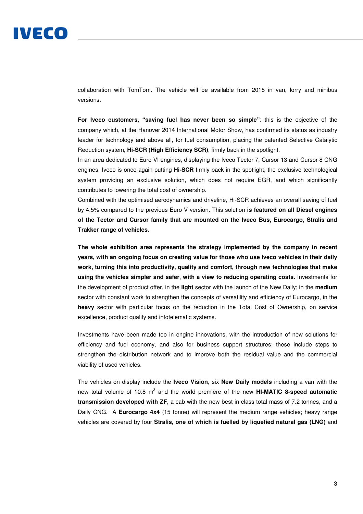# IVECO

collaboration with TomTom. The vehicle will be available from 2015 in van, lorry and minibus versions.

**For Iveco customers, "saving fuel has never been so simple"**: this is the objective of the company which, at the Hanover 2014 International Motor Show, has confirmed its status as industry leader for technology and above all, for fuel consumption, placing the patented Selective Catalytic Reduction system, **Hi-SCR (High Efficiency SCR)**, firmly back in the spotlight.

In an area dedicated to Euro VI engines, displaying the Iveco Tector 7, Cursor 13 and Cursor 8 CNG engines, Iveco is once again putting **Hi-SCR** firmly back in the spotlight, the exclusive technological system providing an exclusive solution, which does not require EGR, and which significantly contributes to lowering the total cost of ownership.

Combined with the optimised aerodynamics and driveline, Hi-SCR achieves an overall saving of fuel by 4.5% compared to the previous Euro V version. This solution **is featured on all Diesel engines of the Tector and Cursor family that are mounted on the Iveco Bus, Eurocargo, Stralis and Trakker range of vehicles.** 

**The whole exhibition area represents the strategy implemented by the company in recent years, with an ongoing focus on creating value for those who use Iveco vehicles in their daily work, turning this into productivity, quality and comfort, through new technologies that make using the vehicles simpler and safer**, **with a view to reducing operating costs.** Investments for the development of product offer, in the **light** sector with the launch of the New Daily; in the **medium**  sector with constant work to strengthen the concepts of versatility and efficiency of Eurocargo, in the **heavy** sector with particular focus on the reduction in the Total Cost of Ownership, on service excellence, product quality and infotelematic systems.

Investments have been made too in engine innovations, with the introduction of new solutions for efficiency and fuel economy, and also for business support structures; these include steps to strengthen the distribution network and to improve both the residual value and the commercial viability of used vehicles.

The vehicles on display include the **Iveco Vision**, six **New Daily models** including a van with the new total volume of 10.8 m<sup>3</sup> and the world première of the new **HI-MATIC 8-speed automatic transmission developed with ZF**, a cab with the new best-in-class total mass of 7.2 tonnes, and a Daily CNG. A **Eurocargo 4x4** (15 tonne) will represent the medium range vehicles; heavy range vehicles are covered by four **Stralis, one of which is fuelled by liquefied natural gas (LNG)** and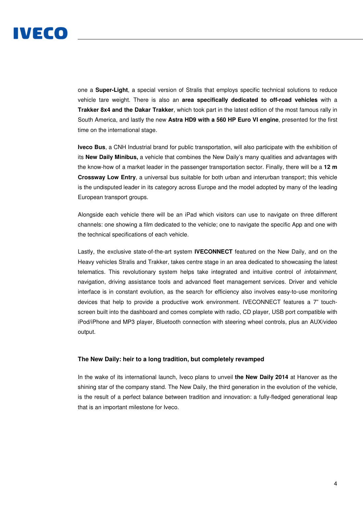

one a **Super-Light**, a special version of Stralis that employs specific technical solutions to reduce vehicle tare weight. There is also an **area specifically dedicated to off-road vehicles** with a **Trakker 8x4 and the Dakar Trakker**, which took part in the latest edition of the most famous rally in South America, and lastly the new **Astra HD9 with a 560 HP Euro VI engine**, presented for the first time on the international stage.

**Iveco Bus**, a CNH Industrial brand for public transportation, will also participate with the exhibition of its **New Daily Minibus,** a vehicle that combines the New Daily's many qualities and advantages with the know-how of a market leader in the passenger transportation sector. Finally, there will be a **12 m Crossway Low Entry**, a universal bus suitable for both urban and interurban transport; this vehicle is the undisputed leader in its category across Europe and the model adopted by many of the leading European transport groups.

Alongside each vehicle there will be an iPad which visitors can use to navigate on three different channels: one showing a film dedicated to the vehicle; one to navigate the specific App and one with the technical specifications of each vehicle.

Lastly, the exclusive state-of-the-art system **IVECONNECT** featured on the New Daily, and on the Heavy vehicles Stralis and Trakker, takes centre stage in an area dedicated to showcasing the latest telematics. This revolutionary system helps take integrated and intuitive control of infotainment, navigation, driving assistance tools and advanced fleet management services. Driver and vehicle interface is in constant evolution, as the search for efficiency also involves easy-to-use monitoring devices that help to provide a productive work environment. IVECONNECT features a 7" touchscreen built into the dashboard and comes complete with radio, CD player, USB port compatible with iPod/iPhone and MP3 player, Bluetooth connection with steering wheel controls, plus an AUX/video output.

#### **The New Daily: heir to a long tradition, but completely revamped**

In the wake of its international launch, Iveco plans to unveil **the New Daily 2014** at Hanover as the shining star of the company stand. The New Daily, the third generation in the evolution of the vehicle, is the result of a perfect balance between tradition and innovation: a fully-fledged generational leap that is an important milestone for Iveco.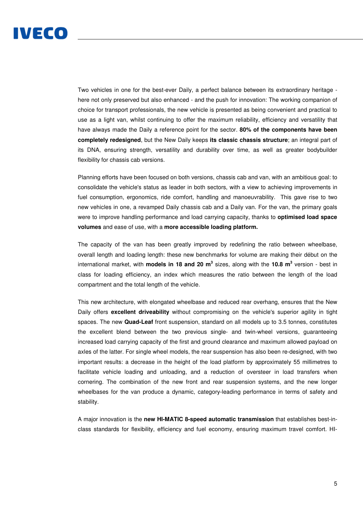Two vehicles in one for the best-ever Daily, a perfect balance between its extraordinary heritage here not only preserved but also enhanced - and the push for innovation: The working companion of choice for transport professionals, the new vehicle is presented as being convenient and practical to use as a light van, whilst continuing to offer the maximum reliability, efficiency and versatility that have always made the Daily a reference point for the sector. **80% of the components have been completely redesigned**, but the New Daily keeps **its classic chassis structure**; an integral part of its DNA, ensuring strength, versatility and durability over time, as well as greater bodybuilder flexibility for chassis cab versions.

Planning efforts have been focused on both versions, chassis cab and van, with an ambitious goal: to consolidate the vehicle's status as leader in both sectors, with a view to achieving improvements in fuel consumption, ergonomics, ride comfort, handling and manoeuvrability. This gave rise to two new vehicles in one, a revamped Daily chassis cab and a Daily van. For the van, the primary goals were to improve handling performance and load carrying capacity, thanks to **optimised load space volumes** and ease of use, with a **more accessible loading platform.**

The capacity of the van has been greatly improved by redefining the ratio between wheelbase, overall length and loading length: these new benchmarks for volume are making their début on the international market, with **models in 18 and 20 m<sup>3</sup> sizes, along with the 10.8 m<sup>3</sup> version - best in** class for loading efficiency, an index which measures the ratio between the length of the load compartment and the total length of the vehicle.

This new architecture, with elongated wheelbase and reduced rear overhang, ensures that the New Daily offers **excellent driveability** without compromising on the vehicle's superior agility in tight spaces. The new **Quad-Leaf** front suspension, standard on all models up to 3.5 tonnes, constitutes the excellent blend between the two previous single- and twin-wheel versions, guaranteeing increased load carrying capacity of the first and ground clearance and maximum allowed payload on axles of the latter. For single wheel models, the rear suspension has also been re-designed, with two important results: a decrease in the height of the load platform by approximately 55 millimetres to facilitate vehicle loading and unloading, and a reduction of oversteer in load transfers when cornering. The combination of the new front and rear suspension systems, and the new longer wheelbases for the van produce a dynamic, category-leading performance in terms of safety and stability.

A major innovation is the **new HI-MATIC 8-speed automatic transmission** that establishes best-inclass standards for flexibility, efficiency and fuel economy, ensuring maximum travel comfort. HI-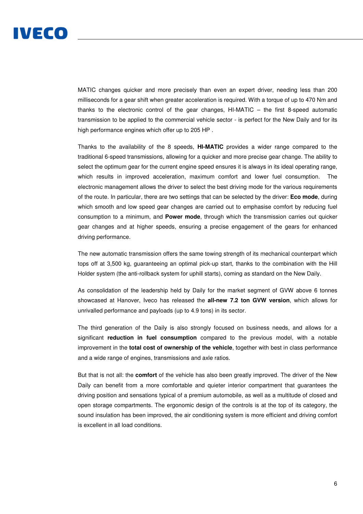

MATIC changes quicker and more precisely than even an expert driver, needing less than 200 milliseconds for a gear shift when greater acceleration is required. With a torque of up to 470 Nm and thanks to the electronic control of the gear changes, HI-MATIC – the first 8-speed automatic transmission to be applied to the commercial vehicle sector - is perfect for the New Daily and for its high performance engines which offer up to 205 HP .

Thanks to the availability of the 8 speeds, **HI-MATIC** provides a wider range compared to the traditional 6-speed transmissions, allowing for a quicker and more precise gear change. The ability to select the optimum gear for the current engine speed ensures it is always in its ideal operating range, which results in improved acceleration, maximum comfort and lower fuel consumption. The electronic management allows the driver to select the best driving mode for the various requirements of the route. In particular, there are two settings that can be selected by the driver: **Eco mode**, during which smooth and low speed gear changes are carried out to emphasise comfort by reducing fuel consumption to a minimum, and **Power mode**, through which the transmission carries out quicker gear changes and at higher speeds, ensuring a precise engagement of the gears for enhanced driving performance.

The new automatic transmission offers the same towing strength of its mechanical counterpart which tops off at 3,500 kg, guaranteeing an optimal pick-up start, thanks to the combination with the Hill Holder system (the anti-rollback system for uphill starts), coming as standard on the New Daily.

As consolidation of the leadership held by Daily for the market segment of GVW above 6 tonnes showcased at Hanover, Iveco has released the **all-new 7.2 ton GVW version**, which allows for unrivalled performance and payloads (up to 4.9 tons) in its sector.

The third generation of the Daily is also strongly focused on business needs, and allows for a significant **reduction in fuel consumption** compared to the previous model, with a notable improvement in the **total cost of ownership of the vehicle**, together with best in class performance and a wide range of engines, transmissions and axle ratios.

But that is not all: the **comfort** of the vehicle has also been greatly improved. The driver of the New Daily can benefit from a more comfortable and quieter interior compartment that guarantees the driving position and sensations typical of a premium automobile, as well as a multitude of closed and open storage compartments. The ergonomic design of the controls is at the top of its category, the sound insulation has been improved, the air conditioning system is more efficient and driving comfort is excellent in all load conditions.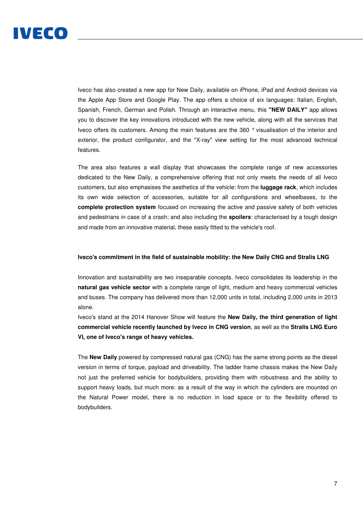

Iveco has also created a new app for New Daily, available on iPhone, iPad and Android devices via the Apple App Store and Google Play. The app offers a choice of six languages: Italian, English, Spanish, French, German and Polish. Through an interactive menu, this **"NEW DAILY"** app allows you to discover the key innovations introduced with the new vehicle, along with all the services that Iveco offers its customers. Among the main features are the 360 ° visualisation of the interior and exterior, the product configurator, and the "X-ray" view setting for the most advanced technical features.

The area also features a wall display that showcases the complete range of new accessories dedicated to the New Daily, a comprehensive offering that not only meets the needs of all Iveco customers, but also emphasises the aesthetics of the vehicle: from the **luggage rack**, which includes its own wide selection of accessories, suitable for all configurations and wheelbases, to the **complete protection system** focused on increasing the active and passive safety of both vehicles and pedestrians in case of a crash; and also including the **spoilers**: characterised by a tough design and made from an innovative material, these easily fitted to the vehicle's roof.

### **Iveco's commitment in the field of sustainable mobility: the New Daily CNG and Stralis LNG**

Innovation and sustainability are two inseparable concepts. Iveco consolidates its leadership in the **natural gas vehicle sector** with a complete range of light, medium and heavy commercial vehicles and buses. The company has delivered more than 12,000 units in total, including 2,000 units in 2013 alone.

Iveco's stand at the 2014 Hanover Show will feature the **New Daily, the third generation of light commercial vehicle recently launched by Iveco in CNG version**, as well as the **Stralis LNG Euro VI, one of Iveco's range of heavy vehicles.** 

The **New Daily** powered by compressed natural gas (CNG) has the same strong points as the diesel version in terms of torque, payload and driveability. The ladder frame chassis makes the New Daily not just the preferred vehicle for bodybuilders, providing them with robustness and the ability to support heavy loads, but much more: as a result of the way in which the cylinders are mounted on the Natural Power model, there is no reduction in load space or to the flexibility offered to bodybuilders.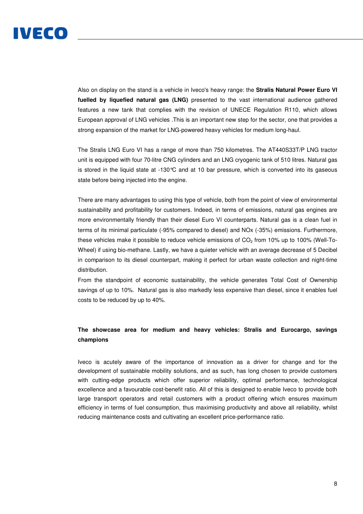

Also on display on the stand is a vehicle in Iveco's heavy range: the **Stralis Natural Power Euro VI fuelled by liquefied natural gas (LNG)** presented to the vast international audience gathered features a new tank that complies with the revision of UNECE Regulation R110, which allows European approval of LNG vehicles .This is an important new step for the sector, one that provides a strong expansion of the market for LNG-powered heavy vehicles for medium long-haul.

The Stralis LNG Euro VI has a range of more than 750 kilometres. The AT440S33T/P LNG tractor unit is equipped with four 70-litre CNG cylinders and an LNG cryogenic tank of 510 litres. Natural gas is stored in the liquid state at -130 $^{\circ}$ C and at 10 bar pressure, which is converted into its gaseous state before being injected into the engine.

There are many advantages to using this type of vehicle, both from the point of view of environmental sustainability and profitability for customers. Indeed, in terms of emissions, natural gas engines are more environmentally friendly than their diesel Euro VI counterparts. Natural gas is a clean fuel in terms of its minimal particulate (-95% compared to diesel) and NOx (-35%) emissions. Furthermore, these vehicles make it possible to reduce vehicle emissions of  $CO<sub>2</sub>$  from 10% up to 100% (Well-To-Wheel) if using bio-methane. Lastly, we have a quieter vehicle with an average decrease of 5 Decibel in comparison to its diesel counterpart, making it perfect for urban waste collection and night-time distribution.

From the standpoint of economic sustainability, the vehicle generates Total Cost of Ownership savings of up to 10%. Natural gas is also markedly less expensive than diesel, since it enables fuel costs to be reduced by up to 40%.

# **The showcase area for medium and heavy vehicles: Stralis and Eurocargo, savings champions**

Iveco is acutely aware of the importance of innovation as a driver for change and for the development of sustainable mobility solutions, and as such, has long chosen to provide customers with cutting-edge products which offer superior reliability, optimal performance, technological excellence and a favourable cost-benefit ratio. All of this is designed to enable Iveco to provide both large transport operators and retail customers with a product offering which ensures maximum efficiency in terms of fuel consumption, thus maximising productivity and above all reliability, whilst reducing maintenance costs and cultivating an excellent price-performance ratio.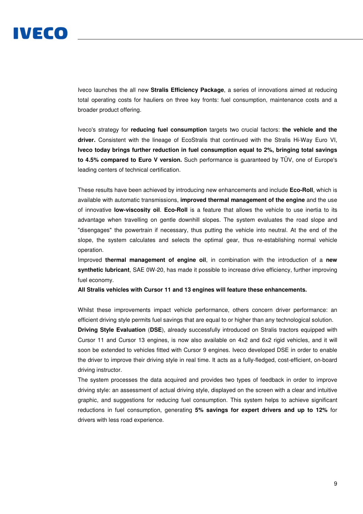

Iveco launches the all new **Stralis Efficiency Package**, a series of innovations aimed at reducing total operating costs for hauliers on three key fronts: fuel consumption, maintenance costs and a broader product offering.

Iveco's strategy for **reducing fuel consumption** targets two crucial factors: **the vehicle and the driver.** Consistent with the lineage of EcoStralis that continued with the Stralis Hi-Way Euro VI, **Iveco today brings further reduction in fuel consumption equal to 2%, bringing total savings to 4.5% compared to Euro V version.** Such performance is guaranteed by TÜV, one of Europe's leading centers of technical certification.

These results have been achieved by introducing new enhancements and include **Eco-Roll**, which is available with automatic transmissions, **improved thermal management of the engine** and the use of innovative **low-viscosity oil**. **Eco-Roll** is a feature that allows the vehicle to use inertia to its advantage when travelling on gentle downhill slopes. The system evaluates the road slope and "disengages" the powertrain if necessary, thus putting the vehicle into neutral. At the end of the slope, the system calculates and selects the optimal gear, thus re-establishing normal vehicle operation.

Improved **thermal management of engine oil**, in combination with the introduction of a **new synthetic lubricant**, SAE 0W-20, has made it possible to increase drive efficiency, further improving fuel economy.

**All Stralis vehicles with Cursor 11 and 13 engines will feature these enhancements.** 

Whilst these improvements impact vehicle performance, others concern driver performance: an efficient driving style permits fuel savings that are equal to or higher than any technological solution.

**Driving Style Evaluation** (**DSE**), already successfully introduced on Stralis tractors equipped with Cursor 11 and Cursor 13 engines, is now also available on 4x2 and 6x2 rigid vehicles, and it will soon be extended to vehicles fitted with Cursor 9 engines. Iveco developed DSE in order to enable the driver to improve their driving style in real time. It acts as a fully-fledged, cost-efficient, on-board driving instructor.

The system processes the data acquired and provides two types of feedback in order to improve driving style: an assessment of actual driving style, displayed on the screen with a clear and intuitive graphic, and suggestions for reducing fuel consumption. This system helps to achieve significant reductions in fuel consumption, generating **5% savings for expert drivers and up to 12%** for drivers with less road experience.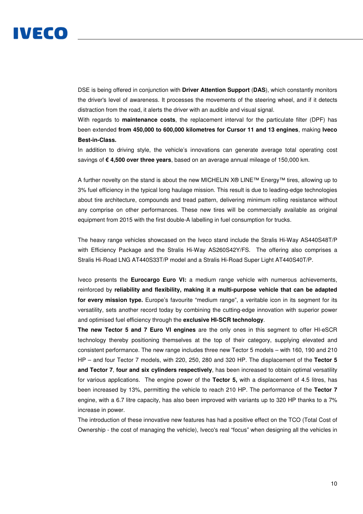

DSE is being offered in conjunction with **Driver Attention Support** (**DAS**), which constantly monitors the driver's level of awareness. It processes the movements of the steering wheel, and if it detects distraction from the road, it alerts the driver with an audible and visual signal.

With regards to **maintenance costs**, the replacement interval for the particulate filter (DPF) has been extended **from 450,000 to 600,000 kilometres for Cursor 11 and 13 engines**, making **Iveco Best-in-Class.**

In addition to driving style, the vehicle's innovations can generate average total operating cost savings of **€ 4,500 over three years**, based on an average annual mileage of 150,000 km.

A further novelty on the stand is about the new MICHELIN X® LINE™ Energy™ tires, allowing up to 3% fuel efficiency in the typical long haulage mission. This result is due to leading-edge technologies about tire architecture, compounds and tread pattern, delivering minimum rolling resistance without any comprise on other performances. These new tires will be commercially available as original equipment from 2015 with the first double-A labelling in fuel consumption for trucks.

The heavy range vehicles showcased on the Iveco stand include the Stralis Hi-Way AS440S48T/P with Efficiency Package and the Stralis Hi-Way AS260S42Y/FS. The offering also comprises a Stralis Hi-Road LNG AT440S33T/P model and a Stralis Hi-Road Super Light AT440S40T/P.

Iveco presents the **Eurocargo Euro VI:** a medium range vehicle with numerous achievements, reinforced by **reliability and flexibility, making it a multi-purpose vehicle that can be adapted for every mission type.** Europe's favourite "medium range", a veritable icon in its segment for its versatility, sets another record today by combining the cutting-edge innovation with superior power and optimised fuel efficiency through the **exclusive HI-SCR technology**.

**The new Tector 5 and 7 Euro VI engines** are the only ones in this segment to offer HI-eSCR technology thereby positioning themselves at the top of their category, supplying elevated and consistent performance. The new range includes three new Tector 5 models – with 160, 190 and 210 HP – and four Tector 7 models, with 220, 250, 280 and 320 HP. The displacement of the **Tector 5 and Tector 7**, **four and six cylinders respectively**, has been increased to obtain optimal versatility for various applications. The engine power of the **Tector 5,** with a displacement of 4.5 litres, has been increased by 13%, permitting the vehicle to reach 210 HP. The performance of the **Tector 7**  engine, with a 6.7 litre capacity, has also been improved with variants up to 320 HP thanks to a 7% increase in power.

The introduction of these innovative new features has had a positive effect on the TCO (Total Cost of Ownership - the cost of managing the vehicle), Iveco's real "focus" when designing all the vehicles in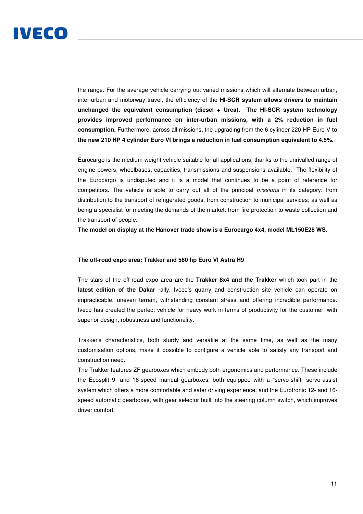

the range. For the average vehicle carrying out varied missions which will alternate between urban, inter-urban and motorway travel, the efficiency of the **HI-SCR system allows drivers to maintain unchanged the equivalent consumption (diesel + Urea). The HI-SCR system technology provides improved performance on inter-urban missions, with a 2% reduction in fuel consumption.** Furthermore, across all missions, the upgrading from the 6 cylinder 220 HP Euro V **to the new 210 HP 4 cylinder Euro VI brings a reduction in fuel consumption equivalent to 4.5%.** 

Eurocargo is the medium-weight vehicle suitable for all applications, thanks to the unrivalled range of engine powers, wheelbases, capacities, transmissions and suspensions available. The flexibility of the Eurocargo is undisputed and it is a model that continues to be a point of reference for competitors. The vehicle is able to carry out all of the principal missions in its category: from distribution to the transport of refrigerated goods, from construction to municipal services; as well as being a specialist for meeting the demands of the market: from fire protection to waste collection and the transport of people.

**The model on display at the Hanover trade show is a Eurocargo 4x4, model ML150E28 WS.** 

## **The off-road expo area: Trakker and 560 hp Euro VI Astra H9**

The stars of the off-road expo area are the **Trakker 8x4 and the Trakker** which took part in the **latest edition of the Dakar** rally. Iveco's quarry and construction site vehicle can operate on impracticable, uneven terrain, withstanding constant stress and offering incredible performance. Iveco has created the perfect vehicle for heavy work in terms of productivity for the customer, with superior design, robustness and functionality.

Trakker's characteristics, both sturdy and versatile at the same time, as well as the many customisation options, make it possible to configure a vehicle able to satisfy any transport and construction need.

The Trakker features ZF gearboxes which embody both ergonomics and performance. These include the Ecosplit 9- and 16-speed manual gearboxes, both equipped with a "servo-shift" servo-assist system which offers a more comfortable and safer driving experience, and the Eurotronic 12- and 16 speed automatic gearboxes, with gear selector built into the steering column switch, which improves driver comfort.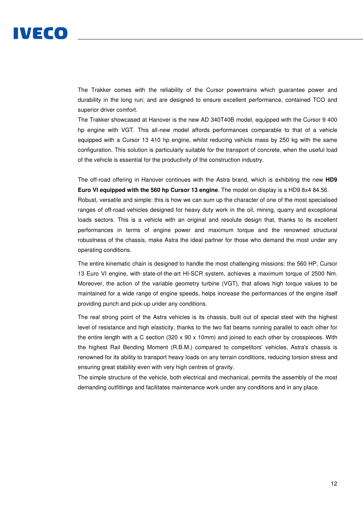The Trakker comes with the reliability of the Cursor powertrains which guarantee power and durability in the long run; and are designed to ensure excellent performance, contained TCO and superior driver comfort.

The Trakker showcased at Hanover is the new AD 340T40B model, equipped with the Cursor 9 400 hp engine with VGT. This all-new model affords performances comparable to that of a vehicle equipped with a Cursor 13 410 hp engine, whilst reducing vehicle mass by 250 kg with the same configuration. This solution is particularly suitable for the transport of concrete, when the useful load of the vehicle is essential for the productivity of the construction industry.

The off-road offering in Hanover continues with the Astra brand, which is exhibiting the new **HD9 Euro VI equipped with the 560 hp Cursor 13 engine**. The model on display is a HD9 8x4 84.56.

Robust, versatile and simple: this is how we can sum up the character of one of the most specialised ranges of off-road vehicles designed for heavy duty work in the oil, mining, quarry and exceptional loads sectors. This is a vehicle with an original and resolute design that, thanks to its excellent performances in terms of engine power and maximum torque and the renowned structural robustness of the chassis, make Astra the ideal partner for those who demand the most under any operating conditions.

The entire kinematic chain is designed to handle the most challenging missions: the 560 HP, Cursor 13 Euro VI engine, with state-of-the-art HI-SCR system, achieves a maximum torque of 2500 Nm. Moreover, the action of the variable geometry turbine (VGT), that allows high torque values to be maintained for a wide range of engine speeds, helps increase the performances of the engine itself providing punch and pick-up under any conditions.

The real strong point of the Astra vehicles is its chassis, built out of special steel with the highest level of resistance and high elasticity, thanks to the two flat beams running parallel to each other for the entire length with a C section (320  $\times$  90  $\times$  10mm) and joined to each other by crosspieces. With the highest Rail Bending Moment (R.B.M.) compared to competitors' vehicles, Astra's chassis is renowned for its ability to transport heavy loads on any terrain conditions, reducing torsion stress and ensuring great stability even with very high centres of gravity.

The simple structure of the vehicle, both electrical and mechanical, permits the assembly of the most demanding outfittings and facilitates maintenance work under any conditions and in any place.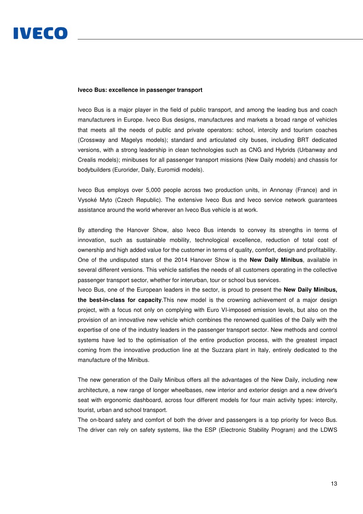#### **Iveco Bus: excellence in passenger transport**

Iveco Bus is a major player in the field of public transport, and among the leading bus and coach manufacturers in Europe. Iveco Bus designs, manufactures and markets a broad range of vehicles that meets all the needs of public and private operators: school, intercity and tourism coaches (Crossway and Magelys models); standard and articulated city buses, including BRT dedicated versions, with a strong leadership in clean technologies such as CNG and Hybrids (Urbanway and Crealis models); minibuses for all passenger transport missions (New Daily models) and chassis for bodybuilders (Eurorider, Daily, Euromidi models).

Iveco Bus employs over 5,000 people across two production units, in Annonay (France) and in Vysoké Myto (Czech Republic). The extensive Iveco Bus and Iveco service network guarantees assistance around the world wherever an Iveco Bus vehicle is at work.

By attending the Hanover Show, also Iveco Bus intends to convey its strengths in terms of innovation, such as sustainable mobility, technological excellence, reduction of total cost of ownership and high added value for the customer in terms of quality, comfort, design and profitability. One of the undisputed stars of the 2014 Hanover Show is the **New Daily Minibus**, available in several different versions. This vehicle satisfies the needs of all customers operating in the collective passenger transport sector, whether for interurban, tour or school bus services.

Iveco Bus, one of the European leaders in the sector, is proud to present the **New Daily Minibus, the best-in-class for capacity**.This new model is the crowning achievement of a major design project, with a focus not only on complying with Euro VI-imposed emission levels, but also on the provision of an innovative new vehicle which combines the renowned qualities of the Daily with the expertise of one of the industry leaders in the passenger transport sector. New methods and control systems have led to the optimisation of the entire production process, with the greatest impact coming from the innovative production line at the Suzzara plant in Italy, entirely dedicated to the manufacture of the Minibus.

The new generation of the Daily Minibus offers all the advantages of the New Daily, including new architecture, a new range of longer wheelbases, new interior and exterior design and a new driver's seat with ergonomic dashboard, across four different models for four main activity types: intercity, tourist, urban and school transport.

The on-board safety and comfort of both the driver and passengers is a top priority for Iveco Bus. The driver can rely on safety systems, like the ESP (Electronic Stability Program) and the LDWS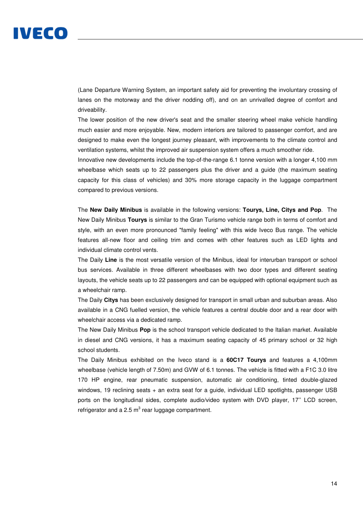# IVECO

(Lane Departure Warning System, an important safety aid for preventing the involuntary crossing of lanes on the motorway and the driver nodding off), and on an unrivalled degree of comfort and driveability.

The lower position of the new driver's seat and the smaller steering wheel make vehicle handling much easier and more enjoyable. New, modern interiors are tailored to passenger comfort, and are designed to make even the longest journey pleasant, with improvements to the climate control and ventilation systems, whilst the improved air suspension system offers a much smoother ride.

Innovative new developments include the top-of-the-range 6.1 tonne version with a longer 4,100 mm wheelbase which seats up to 22 passengers plus the driver and a guide (the maximum seating capacity for this class of vehicles) and 30% more storage capacity in the luggage compartment compared to previous versions.

The **New Daily Minibus** is available in the following versions: **Tourys, Line, Citys and Pop**. The New Daily Minibus **Tourys** is similar to the Gran Turismo vehicle range both in terms of comfort and style, with an even more pronounced "family feeling" with this wide Iveco Bus range. The vehicle features all-new floor and ceiling trim and comes with other features such as LED lights and individual climate control vents.

The Daily **Line** is the most versatile version of the Minibus, ideal for interurban transport or school bus services. Available in three different wheelbases with two door types and different seating layouts, the vehicle seats up to 22 passengers and can be equipped with optional equipment such as a wheelchair ramp.

The Daily **Citys** has been exclusively designed for transport in small urban and suburban areas. Also available in a CNG fuelled version, the vehicle features a central double door and a rear door with wheelchair access via a dedicated ramp.

The New Daily Minibus **Pop** is the school transport vehicle dedicated to the Italian market. Available in diesel and CNG versions, it has a maximum seating capacity of 45 primary school or 32 high school students.

The Daily Minibus exhibited on the Iveco stand is a **60C17 Tourys** and features a 4,100mm wheelbase (vehicle length of 7.50m) and GVW of 6.1 tonnes. The vehicle is fitted with a F1C 3.0 litre 170 HP engine, rear pneumatic suspension, automatic air conditioning, tinted double-glazed windows, 19 reclining seats + an extra seat for a guide, individual LED spotlights, passenger USB ports on the longitudinal sides, complete audio/video system with DVD player, 17'' LCD screen, refrigerator and a 2.5  $m^3$  rear luggage compartment.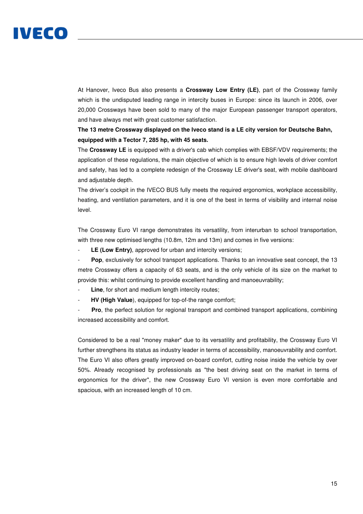

At Hanover, Iveco Bus also presents a **Crossway Low Entry (LE)**, part of the Crossway family which is the undisputed leading range in intercity buses in Europe: since its launch in 2006, over 20,000 Crossways have been sold to many of the major European passenger transport operators, and have always met with great customer satisfaction.

# **The 13 metre Crossway displayed on the Iveco stand is a LE city version for Deutsche Bahn, equipped with a Tector 7, 285 hp, with 45 seats.**

The **Crossway LE** is equipped with a driver's cab which complies with EBSF/VDV requirements; the application of these regulations, the main objective of which is to ensure high levels of driver comfort and safety, has led to a complete redesign of the Crossway LE driver's seat, with mobile dashboard and adjustable depth.

The driver's cockpit in the IVECO BUS fully meets the required ergonomics, workplace accessibility, heating, and ventilation parameters, and it is one of the best in terms of visibility and internal noise level.

The Crossway Euro VI range demonstrates its versatility, from interurban to school transportation, with three new optimised lengths (10.8m, 12m and 13m) and comes in five versions:

LE (Low Entry), approved for urban and intercity versions;

**Pop**, exclusively for school transport applications. Thanks to an innovative seat concept, the 13 metre Crossway offers a capacity of 63 seats, and is the only vehicle of its size on the market to provide this: whilst continuing to provide excellent handling and manoeuvrability;

Line, for short and medium length intercity routes;

**HV (High Value**), equipped for top-of-the range comfort;

**Pro**, the perfect solution for regional transport and combined transport applications, combining increased accessibility and comfort.

Considered to be a real "money maker" due to its versatility and profitability, the Crossway Euro VI further strengthens its status as industry leader in terms of accessibility, manoeuvrability and comfort. The Euro VI also offers greatly improved on-board comfort, cutting noise inside the vehicle by over 50%. Already recognised by professionals as "the best driving seat on the market in terms of ergonomics for the driver", the new Crossway Euro VI version is even more comfortable and spacious, with an increased length of 10 cm.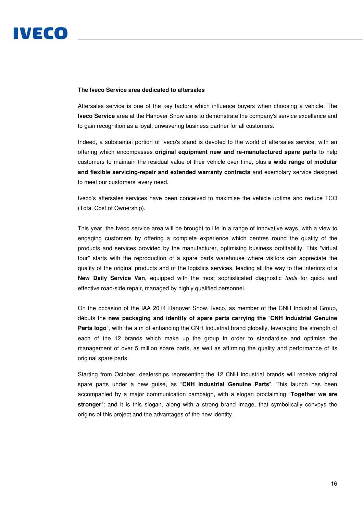# **The Iveco Service area dedicated to aftersales**

Aftersales service is one of the key factors which influence buyers when choosing a vehicle. The **Iveco Service** area at the Hanover Show aims to demonstrate the company's service excellence and to gain recognition as a loyal, unwavering business partner for all customers.

Indeed, a substantial portion of Iveco's stand is devoted to the world of aftersales service, with an offering which encompasses **original equipment new and re-manufactured spare parts** to help customers to maintain the residual value of their vehicle over time, plus **a wide range of modular and flexible servicing-repair and extended warranty contracts** and exemplary service designed to meet our customers' every need.

Iveco's aftersales services have been conceived to maximise the vehicle uptime and reduce TCO (Total Cost of Ownership).

This year, the Iveco service area will be brought to life in a range of innovative ways, with a view to engaging customers by offering a complete experience which centres round the quality of the products and services provided by the manufacturer, optimising business profitability. This "virtual tour" starts with the reproduction of a spare parts warehouse where visitors can appreciate the quality of the original products and of the logistics services, leading all the way to the interiors of a **New Daily Service Van.** equipped with the most sophisticated diagnostic *tools* for quick and effective road-side repair, managed by highly qualified personnel.

On the occasion of the IAA 2014 Hanover Show, Iveco, as member of the CNH Industrial Group, débuts the **new packaging and identity of spare parts carrying the** "**CNH Industrial Genuine Parts logo**", with the aim of enhancing the CNH Industrial brand globally, leveraging the strength of each of the 12 brands which make up the group in order to standardise and optimise the management of over 5 million spare parts, as well as affirming the quality and performance of its original spare parts.

Starting from October, dealerships representing the 12 CNH industrial brands will receive original spare parts under a new guise, as "**CNH Industrial Genuine Parts**". This launch has been accompanied by a major communication campaign, with a slogan proclaiming "**Together we are stronger**"; and it is this slogan, along with a strong brand image, that symbolically conveys the origins of this project and the advantages of the new identity.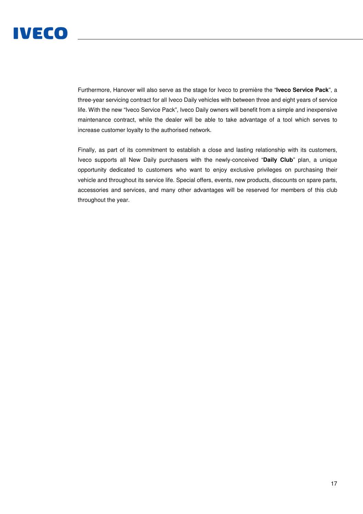

Furthermore, Hanover will also serve as the stage for Iveco to première the "**Iveco Service Pack**", a three-year servicing contract for all Iveco Daily vehicles with between three and eight years of service life. With the new "Iveco Service Pack", Iveco Daily owners will benefit from a simple and inexpensive maintenance contract, while the dealer will be able to take advantage of a tool which serves to increase customer loyalty to the authorised network.

Finally, as part of its commitment to establish a close and lasting relationship with its customers, Iveco supports all New Daily purchasers with the newly-conceived "**Daily Club**" plan, a unique opportunity dedicated to customers who want to enjoy exclusive privileges on purchasing their vehicle and throughout its service life. Special offers, events, new products, discounts on spare parts, accessories and services, and many other advantages will be reserved for members of this club throughout the year.